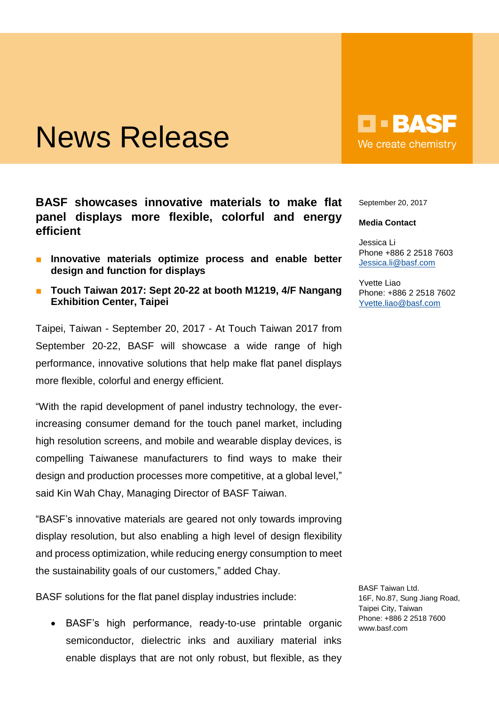## News Release

**BASF showcases innovative materials to make flat panel displays more flexible, colorful and energy efficient**

- **Innovative materials optimize process and enable better design and function for displays**
- **Touch Taiwan 2017: Sept 20-22 at booth M1219, 4/F Nangang Exhibition Center, Taipei**

Taipei, Taiwan - September 20, 2017 - At Touch Taiwan 2017 from September 20-22, BASF will showcase a wide range of high performance, innovative solutions that help make flat panel displays more flexible, colorful and energy efficient.

"With the rapid development of panel industry technology, the everincreasing consumer demand for the touch panel market, including high resolution screens, and mobile and wearable display devices, is compelling Taiwanese manufacturers to find ways to make their design and production processes more competitive, at a global level," said Kin Wah Chay, Managing Director of BASF Taiwan.

"BASF's innovative materials are geared not only towards improving display resolution, but also enabling a high level of design flexibility and process optimization, while reducing energy consumption to meet the sustainability goals of our customers," added Chay.

BASF solutions for the flat panel display industries include:

BASF's high performance, ready-to-use printable organic semiconductor, dielectric inks and auxiliary material inks enable displays that are not only robust, but flexible, as they

 $\blacksquare$  - BAS We create chemistry

September 20, 2017

## **Media Contact**

Jessica Li Phone +886 2 2518 7603 [Jessica.li@basf.com](mailto:Jessica.li@basf.com)

Yvette Liao Phone: +886 2 2518 7602 [Yvette.liao@basf.com](mailto:Yvette.liao@basf.com)

BASF Taiwan Ltd. 16F, No.87, Sung Jiang Road, Taipei City, Taiwan Phone: +886 2 2518 7600 www.basf.com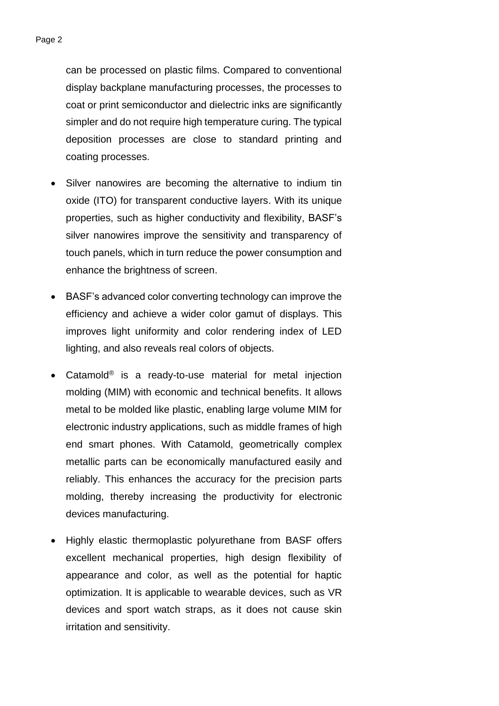can be processed on plastic films. Compared to conventional display backplane manufacturing processes, the processes to coat or print semiconductor and dielectric inks are significantly simpler and do not require high temperature curing. The typical deposition processes are close to standard printing and coating processes.

- Silver nanowires are becoming the alternative to indium tin oxide (ITO) for transparent conductive layers. With its unique properties, such as higher conductivity and flexibility, BASF's silver nanowires improve the sensitivity and transparency of touch panels, which in turn reduce the power consumption and enhance the brightness of screen.
- BASF's advanced color converting technology can improve the efficiency and achieve a wider color gamut of displays. This improves light uniformity and color rendering index of LED lighting, and also reveals real colors of objects.
- Catamold<sup>®</sup> is a ready-to-use material for metal injection molding (MIM) with economic and technical benefits. It allows metal to be molded like plastic, enabling large volume MIM for electronic industry applications, such as middle frames of high end smart phones. With Catamold, geometrically complex metallic parts can be economically manufactured easily and reliably. This enhances the accuracy for the precision parts molding, thereby increasing the productivity for electronic devices manufacturing.
- Highly elastic thermoplastic polyurethane from BASF offers excellent mechanical properties, high design flexibility of appearance and color, as well as the potential for haptic optimization. It is applicable to wearable devices, such as VR devices and sport watch straps, as it does not cause skin irritation and sensitivity.